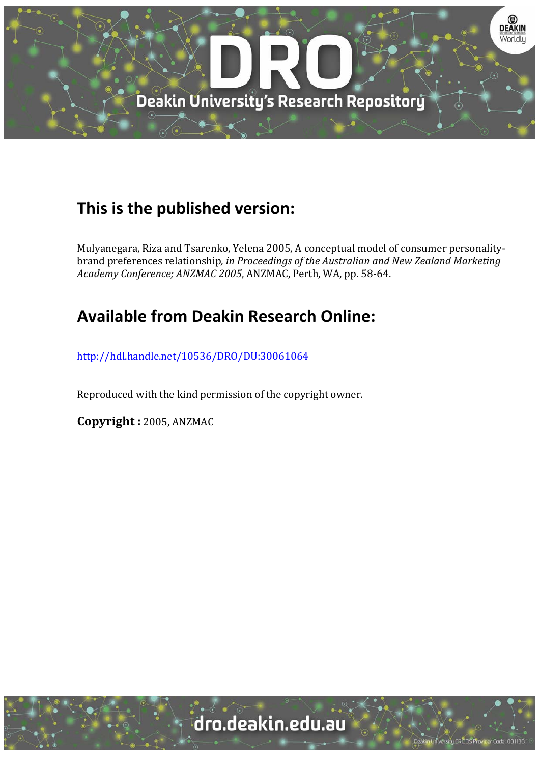

# **This is the published version:**

Mulyanegara, Riza and Tsarenko, Yelena 2005, A conceptual model of consumer personalitybrand preferences relationship*, in Proceedings of the Australian and New Zealand Marketing Academy Conference; ANZMAC 2005*, ANZMAC, Perth, WA, pp. 58‐64. 

# **Available from Deakin Research Online:**

http://hdl.handle.net/10536/DRO/DU:30061064

Reproduced with the kind permission of the copyright owner.

**Copyright :** 2005, ANZMAC

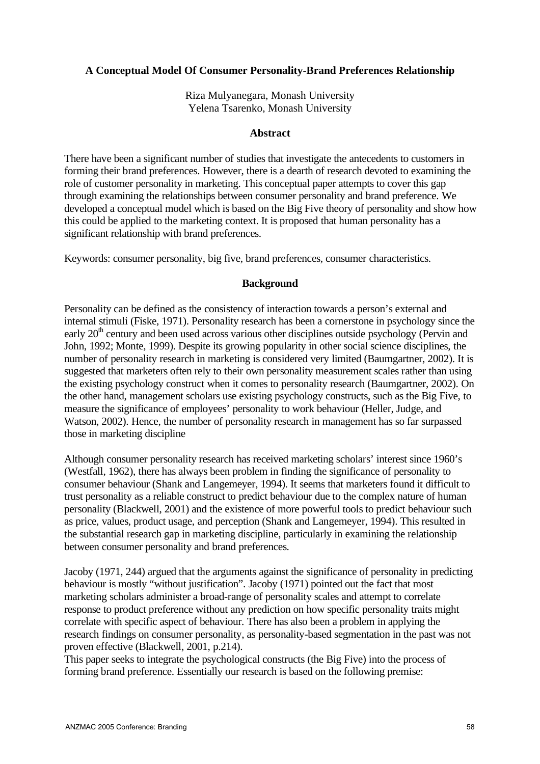## **A Conceptual Model Of Consumer Personality-Brand Preferences Relationship**

Riza Mulyanegara, Monash University Yelena Tsarenko, Monash University

#### **Abstract**

There have been a significant number of studies that investigate the antecedents to customers in forming their brand preferences. However, there is a dearth of research devoted to examining the role of customer personality in marketing. This conceptual paper attempts to cover this gap through examining the relationships between consumer personality and brand preference. We developed a conceptual model which is based on the Big Five theory of personality and show how this could be applied to the marketing context. It is proposed that human personality has a significant relationship with brand preferences.

Keywords: consumer personality, big five, brand preferences, consumer characteristics.

### **Background**

Personality can be defined as the consistency of interaction towards a person's external and internal stimuli (Fiske, 1971). Personality research has been a cornerstone in psychology since the early  $20<sup>th</sup>$  century and been used across various other disciplines outside psychology (Pervin and John, 1992; Monte, 1999). Despite its growing popularity in other social science disciplines, the number of personality research in marketing is considered very limited (Baumgartner, 2002). It is suggested that marketers often rely to their own personality measurement scales rather than using the existing psychology construct when it comes to personality research (Baumgartner, 2002). On the other hand, management scholars use existing psychology constructs, such as the Big Five, to measure the significance of employees' personality to work behaviour (Heller, Judge, and Watson, 2002). Hence, the number of personality research in management has so far surpassed those in marketing discipline

Although consumer personality research has received marketing scholars' interest since 1960's (Westfall, 1962), there has always been problem in finding the significance of personality to consumer behaviour (Shank and Langemeyer, 1994). It seems that marketers found it difficult to trust personality as a reliable construct to predict behaviour due to the complex nature of human personality (Blackwell, 2001) and the existence of more powerful tools to predict behaviour such as price, values, product usage, and perception (Shank and Langemeyer, 1994). This resulted in the substantial research gap in marketing discipline, particularly in examining the relationship between consumer personality and brand preferences.

Jacoby (1971, 244) argued that the arguments against the significance of personality in predicting behaviour is mostly "without justification". Jacoby (1971) pointed out the fact that most marketing scholars administer a broad-range of personality scales and attempt to correlate response to product preference without any prediction on how specific personality traits might correlate with specific aspect of behaviour. There has also been a problem in applying the research findings on consumer personality, as personality-based segmentation in the past was not proven effective (Blackwell, 2001, p.214).

This paper seeks to integrate the psychological constructs (the Big Five) into the process of forming brand preference. Essentially our research is based on the following premise: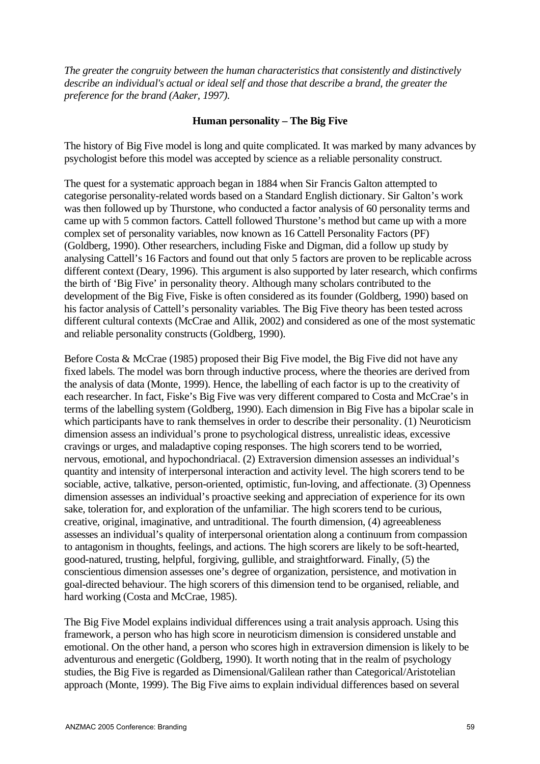*The greater the congruity between the human characteristics that consistently and distinctively describe an individual's actual or ideal self and those that describe a brand, the greater the preference for the brand (Aaker, 1997).*

### **Human personality – The Big Five**

The history of Big Five model is long and quite complicated. It was marked by many advances by psychologist before this model was accepted by science as a reliable personality construct.

The quest for a systematic approach began in 1884 when Sir Francis Galton attempted to categorise personality-related words based on a Standard English dictionary. Sir Galton's work was then followed up by Thurstone, who conducted a factor analysis of 60 personality terms and came up with 5 common factors. Cattell followed Thurstone's method but came up with a more complex set of personality variables, now known as 16 Cattell Personality Factors (PF) (Goldberg, 1990). Other researchers, including Fiske and Digman, did a follow up study by analysing Cattell's 16 Factors and found out that only 5 factors are proven to be replicable across different context (Deary, 1996). This argument is also supported by later research, which confirms the birth of 'Big Five' in personality theory. Although many scholars contributed to the development of the Big Five, Fiske is often considered as its founder (Goldberg, 1990) based on his factor analysis of Cattell's personality variables. The Big Five theory has been tested across different cultural contexts (McCrae and Allik, 2002) and considered as one of the most systematic and reliable personality constructs (Goldberg, 1990).

Before Costa & McCrae (1985) proposed their Big Five model, the Big Five did not have any fixed labels. The model was born through inductive process, where the theories are derived from the analysis of data (Monte, 1999). Hence, the labelling of each factor is up to the creativity of each researcher. In fact, Fiske's Big Five was very different compared to Costa and McCrae's in terms of the labelling system (Goldberg, 1990). Each dimension in Big Five has a bipolar scale in which participants have to rank themselves in order to describe their personality. (1) Neuroticism dimension assess an individual's prone to psychological distress, unrealistic ideas, excessive cravings or urges, and maladaptive coping responses. The high scorers tend to be worried, nervous, emotional, and hypochondriacal. (2) Extraversion dimension assesses an individual's quantity and intensity of interpersonal interaction and activity level. The high scorers tend to be sociable, active, talkative, person-oriented, optimistic, fun-loving, and affectionate. (3) Openness dimension assesses an individual's proactive seeking and appreciation of experience for its own sake, toleration for, and exploration of the unfamiliar. The high scorers tend to be curious, creative, original, imaginative, and untraditional. The fourth dimension, (4) agreeableness assesses an individual's quality of interpersonal orientation along a continuum from compassion to antagonism in thoughts, feelings, and actions. The high scorers are likely to be soft-hearted, good-natured, trusting, helpful, forgiving, gullible, and straightforward. Finally, (5) the conscientious dimension assesses one's degree of organization, persistence, and motivation in goal-directed behaviour. The high scorers of this dimension tend to be organised, reliable, and hard working (Costa and McCrae, 1985).

The Big Five Model explains individual differences using a trait analysis approach. Using this framework, a person who has high score in neuroticism dimension is considered unstable and emotional. On the other hand, a person who scores high in extraversion dimension is likely to be adventurous and energetic (Goldberg, 1990). It worth noting that in the realm of psychology studies, the Big Five is regarded as Dimensional/Galilean rather than Categorical/Aristotelian approach (Monte, 1999). The Big Five aims to explain individual differences based on several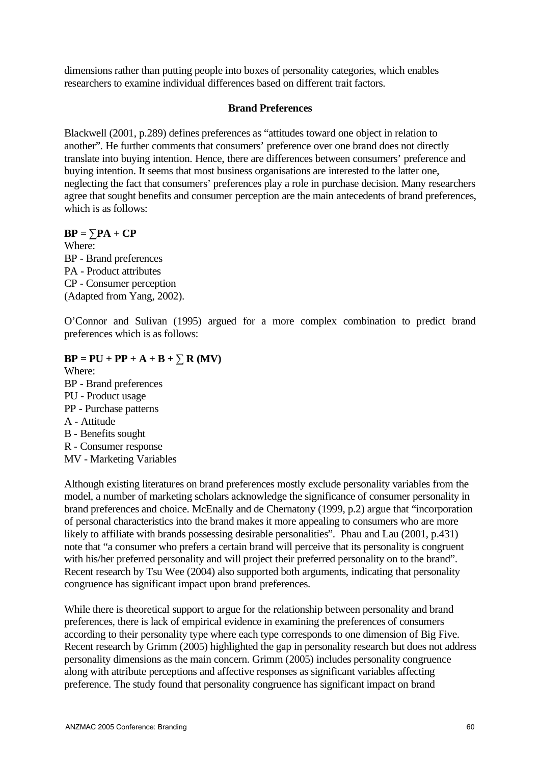dimensions rather than putting people into boxes of personality categories, which enables researchers to examine individual differences based on different trait factors.

### **Brand Preferences**

Blackwell (2001, p.289) defines preferences as "attitudes toward one object in relation to another". He further comments that consumers' preference over one brand does not directly translate into buying intention. Hence, there are differences between consumers' preference and buying intention. It seems that most business organisations are interested to the latter one, neglecting the fact that consumers' preferences play a role in purchase decision. Many researchers agree that sought benefits and consumer perception are the main antecedents of brand preferences, which is as follows:

 $BP = \sum PA + CP$ 

Where: BP - Brand preferences PA - Product attributes CP - Consumer perception (Adapted from Yang, 2002).

O'Connor and Sulivan (1995) argued for a more complex combination to predict brand preferences which is as follows:

- $BP = PU + PP + A + B + \sum R (MV)$
- Where: BP - Brand preferences PU - Product usage PP - Purchase patterns A - Attitude B - Benefits sought R - Consumer response

MV - Marketing Variables

Although existing literatures on brand preferences mostly exclude personality variables from the model, a number of marketing scholars acknowledge the significance of consumer personality in brand preferences and choice. McEnally and de Chernatony (1999, p.2) argue that "incorporation of personal characteristics into the brand makes it more appealing to consumers who are more likely to affiliate with brands possessing desirable personalities". Phau and Lau (2001, p.431) note that "a consumer who prefers a certain brand will perceive that its personality is congruent with his/her preferred personality and will project their preferred personality on to the brand". Recent research by Tsu Wee (2004) also supported both arguments, indicating that personality congruence has significant impact upon brand preferences.

While there is theoretical support to argue for the relationship between personality and brand preferences, there is lack of empirical evidence in examining the preferences of consumers according to their personality type where each type corresponds to one dimension of Big Five. Recent research by Grimm (2005) highlighted the gap in personality research but does not address personality dimensions as the main concern. Grimm (2005) includes personality congruence along with attribute perceptions and affective responses as significant variables affecting preference. The study found that personality congruence has significant impact on brand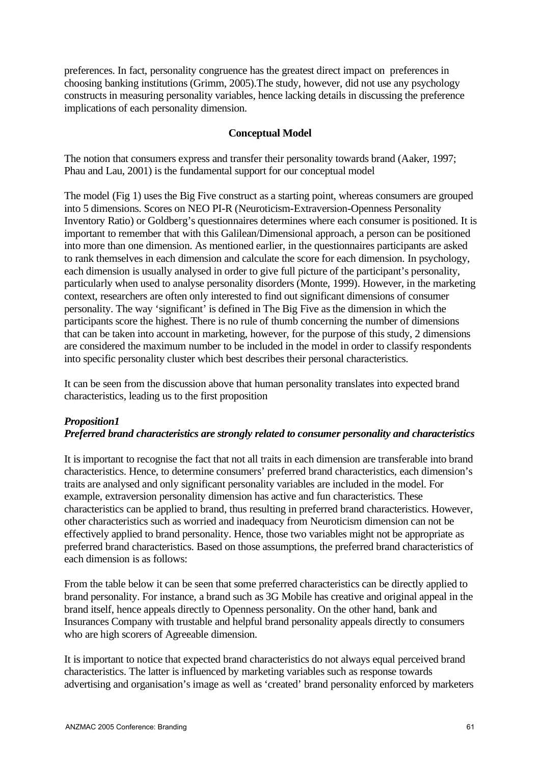preferences. In fact, personality congruence has the greatest direct impact on preferences in choosing banking institutions (Grimm, 2005).The study, however, did not use any psychology constructs in measuring personality variables, hence lacking details in discussing the preference implications of each personality dimension.

## **Conceptual Model**

The notion that consumers express and transfer their personality towards brand (Aaker, 1997; Phau and Lau, 2001) is the fundamental support for our conceptual model

The model (Fig 1) uses the Big Five construct as a starting point, whereas consumers are grouped into 5 dimensions. Scores on NEO PI-R (Neuroticism-Extraversion-Openness Personality Inventory Ratio) or Goldberg's questionnaires determines where each consumer is positioned. It is important to remember that with this Galilean/Dimensional approach, a person can be positioned into more than one dimension. As mentioned earlier, in the questionnaires participants are asked to rank themselves in each dimension and calculate the score for each dimension. In psychology, each dimension is usually analysed in order to give full picture of the participant's personality, particularly when used to analyse personality disorders (Monte, 1999). However, in the marketing context, researchers are often only interested to find out significant dimensions of consumer personality. The way 'significant' is defined in The Big Five as the dimension in which the participants score the highest. There is no rule of thumb concerning the number of dimensions that can be taken into account in marketing, however, for the purpose of this study, 2 dimensions are considered the maximum number to be included in the model in order to classify respondents into specific personality cluster which best describes their personal characteristics.

It can be seen from the discussion above that human personality translates into expected brand characteristics, leading us to the first proposition

# *Proposition1 Preferred brand characteristics are strongly related to consumer personality and characteristics*

It is important to recognise the fact that not all traits in each dimension are transferable into brand characteristics. Hence, to determine consumers' preferred brand characteristics, each dimension's traits are analysed and only significant personality variables are included in the model. For example, extraversion personality dimension has active and fun characteristics. These characteristics can be applied to brand, thus resulting in preferred brand characteristics. However, other characteristics such as worried and inadequacy from Neuroticism dimension can not be effectively applied to brand personality. Hence, those two variables might not be appropriate as preferred brand characteristics. Based on those assumptions, the preferred brand characteristics of each dimension is as follows:

From the table below it can be seen that some preferred characteristics can be directly applied to brand personality. For instance, a brand such as 3G Mobile has creative and original appeal in the brand itself, hence appeals directly to Openness personality. On the other hand, bank and Insurances Company with trustable and helpful brand personality appeals directly to consumers who are high scorers of Agreeable dimension.

It is important to notice that expected brand characteristics do not always equal perceived brand characteristics. The latter is influenced by marketing variables such as response towards advertising and organisation's image as well as 'created' brand personality enforced by marketers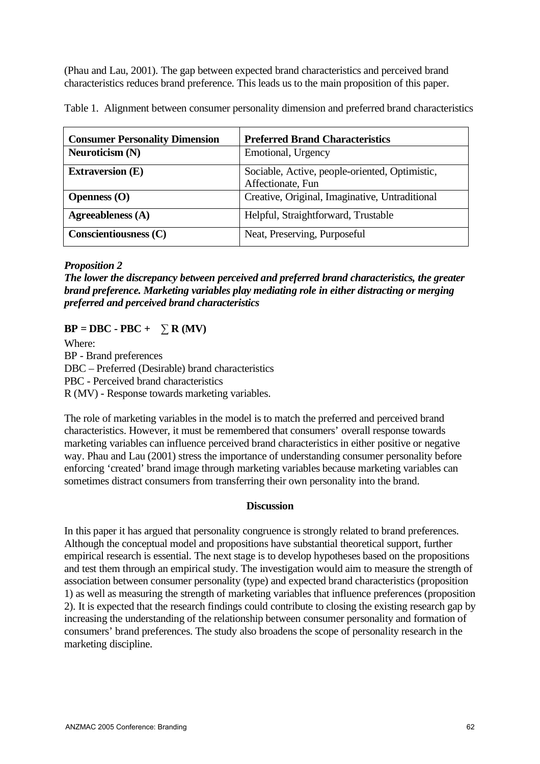(Phau and Lau, 2001). The gap between expected brand characteristics and perceived brand characteristics reduces brand preference. This leads us to the main proposition of this paper.

Table 1. Alignment between consumer personality dimension and preferred brand characteristics

| <b>Consumer Personality Dimension</b> | <b>Preferred Brand Characteristics</b>                              |
|---------------------------------------|---------------------------------------------------------------------|
| Neuroticism (N)                       | Emotional, Urgency                                                  |
| <b>Extraversion</b> (E)               | Sociable, Active, people-oriented, Optimistic,<br>Affectionate, Fun |
| Openness $(O)$                        | Creative, Original, Imaginative, Untraditional                      |
| Agreeableness (A)                     | Helpful, Straightforward, Trustable                                 |
| Conscientiousness (C)                 | Neat, Preserving, Purposeful                                        |

## *Proposition 2*

*The lower the discrepancy between perceived and preferred brand characteristics, the greater brand preference. Marketing variables play mediating role in either distracting or merging preferred and perceived brand characteristics*

# $BP = DBC - PBC + \sum R (MV)$

Where: BP - Brand preferences DBC – Preferred (Desirable) brand characteristics PBC - Perceived brand characteristics R (MV) - Response towards marketing variables.

The role of marketing variables in the model is to match the preferred and perceived brand characteristics. However, it must be remembered that consumers' overall response towards marketing variables can influence perceived brand characteristics in either positive or negative way. Phau and Lau (2001) stress the importance of understanding consumer personality before enforcing 'created' brand image through marketing variables because marketing variables can sometimes distract consumers from transferring their own personality into the brand.

### **Discussion**

In this paper it has argued that personality congruence is strongly related to brand preferences. Although the conceptual model and propositions have substantial theoretical support, further empirical research is essential. The next stage is to develop hypotheses based on the propositions and test them through an empirical study. The investigation would aim to measure the strength of association between consumer personality (type) and expected brand characteristics (proposition 1) as well as measuring the strength of marketing variables that influence preferences (proposition 2). It is expected that the research findings could contribute to closing the existing research gap by increasing the understanding of the relationship between consumer personality and formation of consumers' brand preferences. The study also broadens the scope of personality research in the marketing discipline.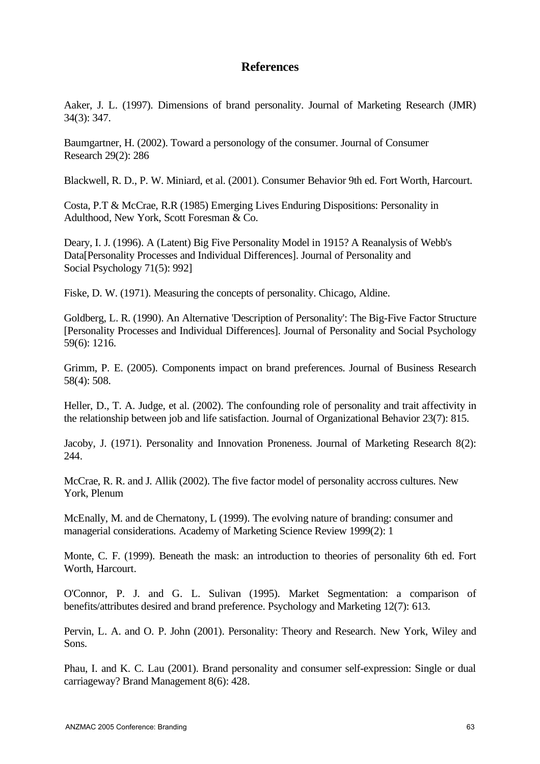# **References**

Aaker, J. L. (1997). Dimensions of brand personality. Journal of Marketing Research (JMR) 34(3): 347.

Baumgartner, H. (2002). Toward a personology of the consumer. Journal of Consumer Research 29(2): 286

Blackwell, R. D., P. W. Miniard, et al. (2001). Consumer Behavior 9th ed. Fort Worth, Harcourt.

Costa, P.T & McCrae, R.R (1985) Emerging Lives Enduring Dispositions: Personality in Adulthood, New York, Scott Foresman & Co.

Deary, I. J. (1996). A (Latent) Big Five Personality Model in 1915? A Reanalysis of Webb's Data[Personality Processes and Individual Differences]. Journal of Personality and Social Psychology 71(5): 992]

Fiske, D. W. (1971). Measuring the concepts of personality. Chicago, Aldine.

Goldberg, L. R. (1990). An Alternative 'Description of Personality': The Big-Five Factor Structure [Personality Processes and Individual Differences]. Journal of Personality and Social Psychology 59(6): 1216.

Grimm, P. E. (2005). Components impact on brand preferences. Journal of Business Research 58(4): 508.

Heller, D., T. A. Judge, et al. (2002). The confounding role of personality and trait affectivity in the relationship between job and life satisfaction. Journal of Organizational Behavior 23(7): 815.

Jacoby, J. (1971). Personality and Innovation Proneness. Journal of Marketing Research 8(2): 244.

McCrae, R. R. and J. Allik (2002). The five factor model of personality accross cultures. New York, Plenum

McEnally, M. and de Chernatony, L (1999). The evolving nature of branding: consumer and managerial considerations. Academy of Marketing Science Review 1999(2): 1

Monte, C. F. (1999). Beneath the mask: an introduction to theories of personality 6th ed. Fort Worth, Harcourt.

O'Connor, P. J. and G. L. Sulivan (1995). Market Segmentation: a comparison of benefits/attributes desired and brand preference. Psychology and Marketing 12(7): 613.

Pervin, L. A. and O. P. John (2001). Personality: Theory and Research. New York, Wiley and Sons.

Phau, I. and K. C. Lau (2001). Brand personality and consumer self-expression: Single or dual carriageway? Brand Management 8(6): 428.